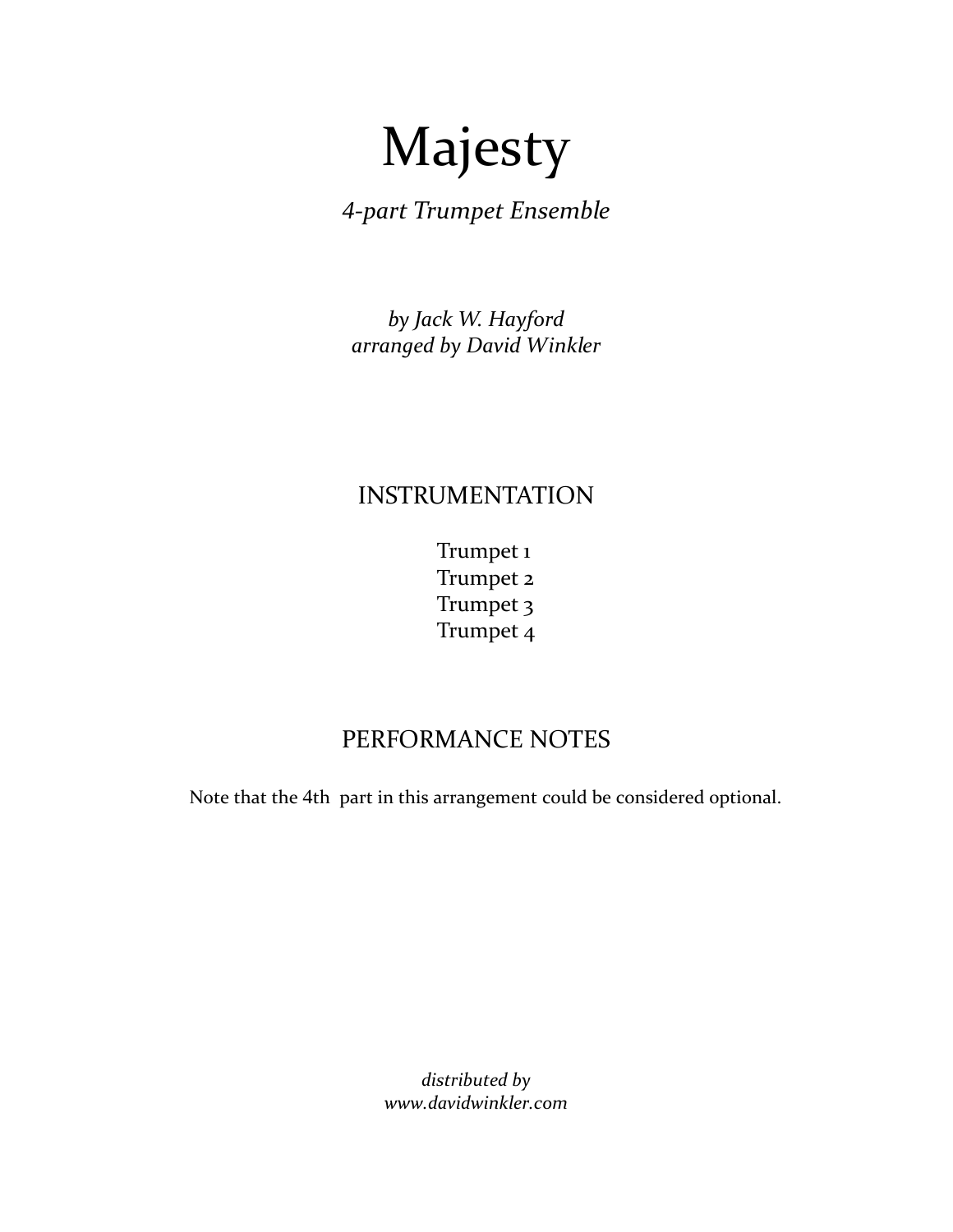## Majesty

*4‐part Trumpet Ensemble*

*by Jack W. Hayford arranged by David Winkler*

## INSTRUMENTATION

 Trumpet 1 Trumpet 2 Trumpet 3 Trumpet 4

## PERFORMANCE NOTES

Note that the 4th part in this arrangement could be considered optional.

*distributed by www.davidwinkler.com*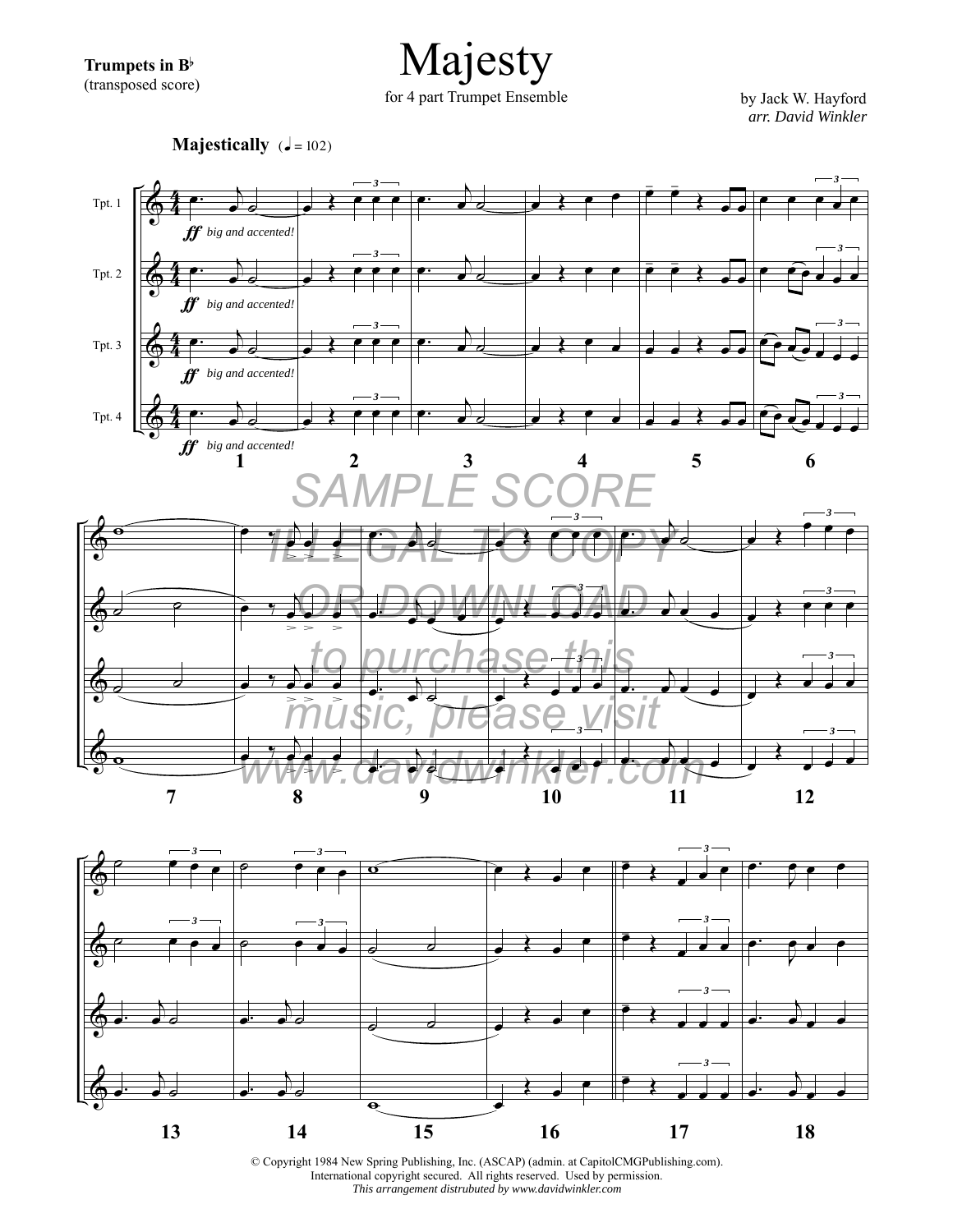**Trumpets in B**b (transposed score)

Majesty for 4 part Trumpet Ensemble by Jack W. Hayford

*arr. David Winkler*

**Majestically**  $(J = 102)$ 





© Copyright 1984 New Spring Publishing, Inc. (ASCAP) (admin. at CapitolCMGPublishing.com). International copyright secured. All rights reserved. Used by permission. *This arrangement distrubuted by www.davidwinkler.com*